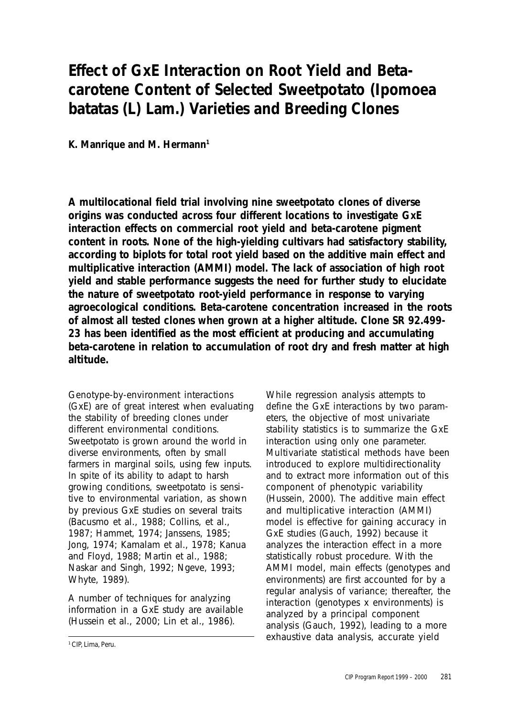# **Effect of GxE Interaction on Root Yield and Betacarotene Content of Selected Sweetpotato (***Ipomoea batatas* **(L) Lam.) Varieties and Breeding Clones**

**K. Manrique and M. Hermann1**

**A multilocational field trial involving nine sweetpotato clones of diverse origins was conducted across four different locations to investigate GxE interaction effects on commercial root yield and beta-carotene pigment content in roots. None of the high-yielding cultivars had satisfactory stability, according to biplots for total root yield based on the additive main effect and multiplicative interaction (AMMI) model. The lack of association of high root yield and stable performance suggests the need for further study to elucidate the nature of sweetpotato root-yield performance in response to varying agroecological conditions. Beta-carotene concentration increased in the roots of almost all tested clones when grown at a higher altitude. Clone SR 92.499- 23 has been identified as the most efficient at producing and accumulating beta-carotene in relation to accumulation of root dry and fresh matter at high altitude.**

Genotype-by-environment interactions (GxE) are of great interest when evaluating the stability of breeding clones under different environmental conditions. Sweetpotato is grown around the world in diverse environments, often by small farmers in marginal soils, using few inputs. In spite of its ability to adapt to harsh growing conditions, sweetpotato is sensitive to environmental variation, as shown by previous GxE studies on several traits (Bacusmo et al., 1988; Collins, et al., 1987; Hammet, 1974; Janssens, 1985; Jong, 1974; Kamalam et al., 1978; Kanua and Floyd, 1988; Martin et al., 1988; Naskar and Singh, 1992; Ngeve, 1993; Whyte, 1989).

A number of techniques for analyzing information in a GxE study are available (Hussein et al., 2000; Lin et al., 1986).

While regression analysis attempts to define the GxE interactions by two parameters, the objective of most univariate stability statistics is to summarize the GxE interaction using only one parameter. Multivariate statistical methods have been introduced to explore multidirectionality and to extract more information out of this component of phenotypic variability (Hussein, 2000). The additive main effect and multiplicative interaction (AMMI) model is effective for gaining accuracy in GxE studies (Gauch, 1992) because it analyzes the interaction effect in a more statistically robust procedure. With the AMMI model, main effects (genotypes and environments) are first accounted for by a regular analysis of variance; thereafter, the interaction (genotypes x environments) is analyzed by a principal component analysis (Gauch, 1992), leading to a more exhaustive data analysis, accurate yield

1 CIP, Lima, Peru.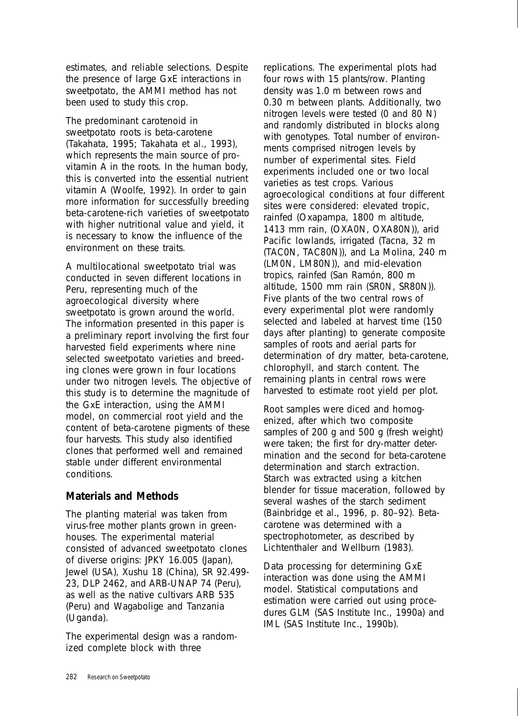estimates, and reliable selections. Despite the presence of large GxE interactions in sweetpotato, the AMMI method has not been used to study this crop.

The predominant carotenoid in sweetpotato roots is beta-carotene (Takahata, 1995; Takahata et al., 1993), which represents the main source of provitamin A in the roots. In the human body, this is converted into the essential nutrient vitamin A (Woolfe, 1992). In order to gain more information for successfully breeding beta-carotene-rich varieties of sweetpotato with higher nutritional value and yield, it is necessary to know the influence of the environment on these traits.

A multilocational sweetpotato trial was conducted in seven different locations in Peru, representing much of the agroecological diversity where sweetpotato is grown around the world. The information presented in this paper is a preliminary report involving the first four harvested field experiments where nine selected sweetpotato varieties and breeding clones were grown in four locations under two nitrogen levels. The objective of this study is to determine the magnitude of the GxE interaction, using the AMMI model, on commercial root yield and the content of beta-carotene pigments of these four harvests. This study also identified clones that performed well and remained stable under different environmental conditions.

#### **Materials and Methods**

The planting material was taken from virus-free mother plants grown in greenhouses. The experimental material consisted of advanced sweetpotato clones of diverse origins: JPKY 16.005 (Japan), Jewel (USA), Xushu 18 (China), SR 92.499- 23, DLP 2462, and ARB-UNAP 74 (Peru), as well as the native cultivars ARB 535 (Peru) and Wagabolige and Tanzania (Uganda).

The experimental design was a randomized complete block with three

replications. The experimental plots had four rows with 15 plants/row. Planting density was 1.0 m between rows and 0.30 m between plants. Additionally, two nitrogen levels were tested (0 and 80 N) and randomly distributed in blocks along with genotypes. Total number of environments comprised nitrogen levels by number of experimental sites. Field experiments included one or two local varieties as test crops. Various agroecological conditions at four different sites were considered: elevated tropic, rainfed (Oxapampa, 1800 m altitude, 1413 mm rain, (OXA0N, OXA80N)), arid Pacific lowlands, irrigated (Tacna, 32 m (TAC0N, TAC80N)), and La Molina, 240 m (LM0N, LM80N)), and mid-elevation tropics, rainfed (San Ramón, 800 m altitude, 1500 mm rain (SR0N, SR80N)). Five plants of the two central rows of every experimental plot were randomly selected and labeled at harvest time (150 days after planting) to generate composite samples of roots and aerial parts for determination of dry matter, beta-carotene, chlorophyll, and starch content. The remaining plants in central rows were harvested to estimate root yield per plot.

Root samples were diced and homogenized, after which two composite samples of 200 g and 500 g (fresh weight) were taken; the first for dry-matter determination and the second for beta-carotene determination and starch extraction. Starch was extracted using a kitchen blender for tissue maceration, followed by several washes of the starch sediment (Bainbridge et al., 1996, p. 80–92). Betacarotene was determined with a spectrophotometer, as described by Lichtenthaler and Wellburn (1983).

Data processing for determining GxE interaction was done using the AMMI model. Statistical computations and estimation were carried out using procedures GLM (SAS Institute Inc., 1990a) and IML (SAS Institute Inc., 1990b).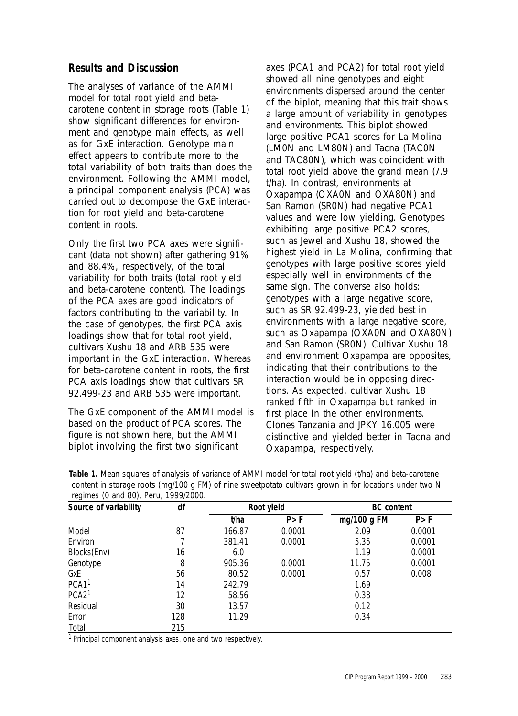## **Results and Discussion**

The analyses of variance of the AMMI model for total root yield and betacarotene content in storage roots (Table 1) show significant differences for environment and genotype main effects, as well as for GxE interaction. Genotype main effect appears to contribute more to the total variability of both traits than does the environment. Following the AMMI model, a principal component analysis (PCA) was carried out to decompose the GxE interaction for root yield and beta-carotene content in roots.

Only the first two PCA axes were significant (data not shown) after gathering 91% and 88.4%, respectively, of the total variability for both traits (total root yield and beta-carotene content). The loadings of the PCA axes are good indicators of factors contributing to the variability. In the case of genotypes, the first PCA axis loadings show that for total root yield, cultivars Xushu 18 and ARB 535 were important in the GxE interaction. Whereas for beta-carotene content in roots, the first PCA axis loadings show that cultivars SR 92.499-23 and ARB 535 were important.

The GxE component of the AMMI model is based on the product of PCA scores. The figure is not shown here, but the AMMI biplot involving the first two significant

axes (PCA1 and PCA2) for total root yield showed all nine genotypes and eight environments dispersed around the center of the biplot, meaning that this trait shows a large amount of variability in genotypes and environments. This biplot showed large positive PCA1 scores for La Molina (LM0N and LM80N) and Tacna (TAC0N and TAC80N), which was coincident with total root yield above the grand mean (7.9 t/ha). In contrast, environments at Oxapampa (OXA0N and OXA80N) and San Ramon (SR0N) had negative PCA1 values and were low yielding. Genotypes exhibiting large positive PCA2 scores, such as Jewel and Xushu 18, showed the highest yield in La Molina, confirming that genotypes with large positive scores yield especially well in environments of the same sign. The converse also holds: genotypes with a large negative score, such as SR 92.499-23, yielded best in environments with a large negative score, such as Oxapampa (OXA0N and OXA80N) and San Ramon (SR0N). Cultivar Xushu 18 and environment Oxapampa are opposites, indicating that their contributions to the interaction would be in opposing directions. As expected, cultivar Xushu 18 ranked fifth in Oxapampa but ranked in first place in the other environments. Clones Tanzania and JPKY 16.005 were distinctive and yielded better in Tacna and Oxapampa, respectively.

| Source of variability | df  | Root yield |        | <b>BC</b> content |        |
|-----------------------|-----|------------|--------|-------------------|--------|
|                       |     | t/ha       | P > F  | mg/100 g $FM$     | P > F  |
| Model                 | 87  | 166.87     | 0.0001 | 2.09              | 0.0001 |
| Environ               |     | 381.41     | 0.0001 | 5.35              | 0.0001 |
| Blocks(Env)           | 16  | 6.0        |        | 1.19              | 0.0001 |
| Genotype              | 8   | 905.36     | 0.0001 | 11.75             | 0.0001 |
| GxE                   | 56  | 80.52      | 0.0001 | 0.57              | 0.008  |
| PCA <sub>1</sub> 1    | 14  | 242.79     |        | 1.69              |        |
| PCA2 <sup>1</sup>     | 12  | 58.56      |        | 0.38              |        |
| Residual              | 30  | 13.57      |        | 0.12              |        |
| Error                 | 128 | 11.29      |        | 0.34              |        |
| Total                 | 215 |            |        |                   |        |

**Table 1.** Mean squares of analysis of variance of AMMI model for total root yield (t/ha) and beta-carotene content in storage roots (mg/100 g FM) of nine sweetpotato cultivars grown in for locations under two N regimes (0 and 80), Peru, 1999/2000.

<sup>1</sup> Principal component analysis axes, one and two respectively.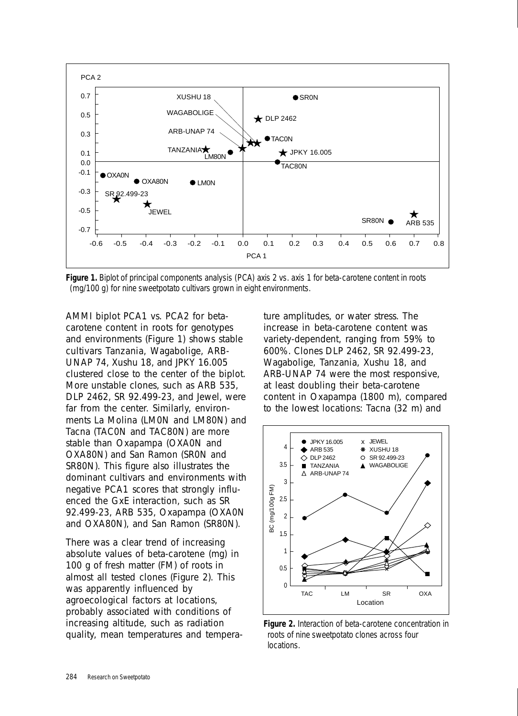

**Figure 1.** Biplot of principal components analysis (PCA) axis 2 vs. axis 1 for beta-carotene content in roots (mg/100 g) for nine sweetpotato cultivars grown in eight environments.

AMMI biplot PCA1 vs. PCA2 for betacarotene content in roots for genotypes and environments (Figure 1) shows stable cultivars Tanzania, Wagabolige, ARB-UNAP 74, Xushu 18, and JPKY 16.005 clustered close to the center of the biplot. More unstable clones, such as ARB 535, DLP 2462, SR 92.499-23, and Jewel, were far from the center. Similarly, environments La Molina (LM0N and LM80N) and Tacna (TAC0N and TAC80N) are more stable than Oxapampa (OXA0N and OXA80N) and San Ramon (SR0N and SR80N). This figure also illustrates the dominant cultivars and environments with negative PCA1 scores that strongly influenced the GxE interaction, such as SR 92.499-23, ARB 535, Oxapampa (OXA0N and OXA80N), and San Ramon (SR80N).

There was a clear trend of increasing absolute values of beta-carotene (mg) in 100 g of fresh matter (FM) of roots in almost all tested clones (Figure 2). This was apparently influenced by agroecological factors at locations, probably associated with conditions of increasing altitude, such as radiation quality, mean temperatures and tempera-

ture amplitudes, or water stress. The increase in beta-carotene content was variety-dependent, ranging from 59% to 600%. Clones DLP 2462, SR 92.499-23, Wagabolige, Tanzania, Xushu 18, and ARB-UNAP 74 were the most responsive, at least doubling their beta-carotene content in Oxapampa (1800 m), compared to the lowest locations: Tacna (32 m) and



**Figure 2.** Interaction of beta-carotene concentration in roots of nine sweetpotato clones across four locations.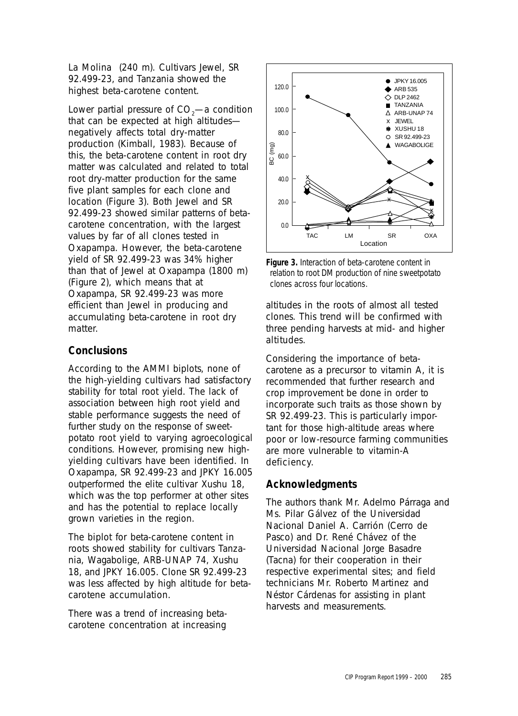La Molina (240 m). Cultivars Jewel, SR 92.499-23, and Tanzania showed the highest beta-carotene content.

Lower partial pressure of CO $_{\textrm{\tiny{2}}}$ —a condition that can be expected at high altitudes negatively affects total dry-matter production (Kimball, 1983). Because of this, the beta-carotene content in root dry matter was calculated and related to total root dry-matter production for the same five plant samples for each clone and location (Figure 3). Both Jewel and SR 92.499-23 showed similar patterns of betacarotene concentration, with the largest values by far of all clones tested in Oxapampa. However, the beta-carotene yield of SR 92.499-23 was 34% higher than that of Jewel at Oxapampa (1800 m) (Figure 2), which means that at Oxapampa, SR 92.499-23 was more efficient than Jewel in producing and accumulating beta-carotene in root dry matter.

## **Conclusions**

According to the AMMI biplots, none of the high-yielding cultivars had satisfactory stability for total root yield. The lack of association between high root yield and stable performance suggests the need of further study on the response of sweetpotato root yield to varying agroecological conditions. However, promising new highyielding cultivars have been identified. In Oxapampa, SR 92.499-23 and JPKY 16.005 outperformed the elite cultivar Xushu 18, which was the top performer at other sites and has the potential to replace locally grown varieties in the region.

The biplot for beta-carotene content in roots showed stability for cultivars Tanzania, Wagabolige, ARB-UNAP 74, Xushu 18, and JPKY 16.005. Clone SR 92.499-23 was less affected by high altitude for betacarotene accumulation.

There was a trend of increasing betacarotene concentration at increasing



**Figure 3.** Interaction of beta-carotene content in relation to root DM production of nine sweetpotato

altitudes in the roots of almost all tested clones. This trend will be confirmed with three pending harvests at mid- and higher altitudes.

Considering the importance of betacarotene as a precursor to vitamin A, it is recommended that further research and crop improvement be done in order to incorporate such traits as those shown by SR 92.499-23. This is particularly important for those high-altitude areas where poor or low-resource farming communities are more vulnerable to vitamin-A deficiency.

#### **Acknowledgments**

The authors thank Mr. Adelmo Párraga and Ms. Pilar Gálvez of the Universidad Nacional Daniel A. Carrión (Cerro de Pasco) and Dr. René Chávez of the Universidad Nacional Jorge Basadre (Tacna) for their cooperation in their respective experimental sites; and field technicians Mr. Roberto Martinez and Néstor Cárdenas for assisting in plant harvests and measurements.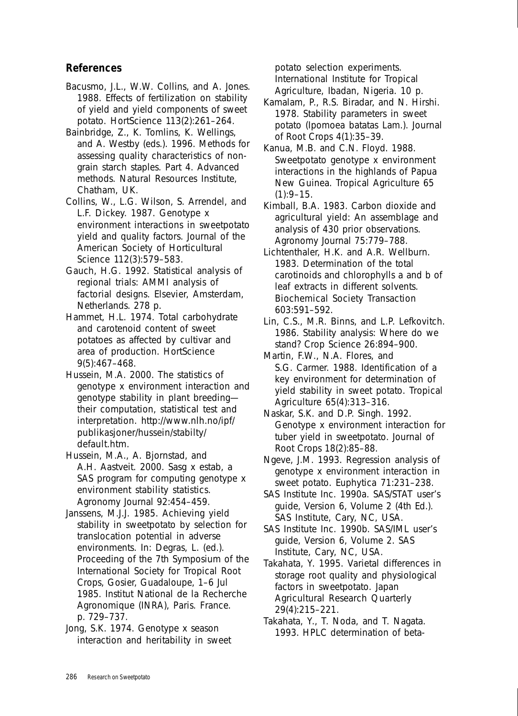## **References**

Bacusmo, J.L., W.W. Collins, and A. Jones. 1988. Effects of fertilization on stability of yield and yield components of sweet potato. HortScience 113(2):261–264.

Bainbridge, Z., K. Tomlins, K. Wellings, and A. Westby (eds.). 1996. Methods for assessing quality characteristics of nongrain starch staples. Part 4. Advanced methods. Natural Resources Institute, Chatham, UK.

Collins, W., L.G. Wilson, S. Arrendel, and L.F. Dickey. 1987. Genotype x environment interactions in sweetpotato yield and quality factors. Journal of the American Society of Horticultural Science 112(3):579–583.

Gauch, H.G. 1992. Statistical analysis of regional trials: AMMI analysis of factorial designs. Elsevier, Amsterdam, Netherlands. 278 p.

Hammet, H.L. 1974. Total carbohydrate and carotenoid content of sweet potatoes as affected by cultivar and area of production. HortScience 9(5):467–468.

Hussein, M.A. 2000. The statistics of genotype x environment interaction and genotype stability in plant breeding their computation, statistical test and interpretation. http://www.nlh.no/ipf/ publikasjoner/hussein/stabilty/ default.htm.

Hussein, M.A., A. Bjornstad, and A.H. Aastveit. 2000. Sasg x estab, a SAS program for computing genotype x environment stability statistics. Agronomy Journal 92:454–459.

Janssens, M.J.J. 1985. Achieving yield stability in sweetpotato by selection for translocation potential in adverse environments. In: Degras, L. (ed.). Proceeding of the 7th Symposium of the International Society for Tropical Root Crops, Gosier, Guadaloupe, 1–6 Jul 1985. Institut National de la Recherche Agronomique (INRA), Paris. France. p. 729–737.

Jong, S.K. 1974. Genotype x season interaction and heritability in sweet potato selection experiments. International Institute for Tropical Agriculture, Ibadan, Nigeria. 10 p.

Kamalam, P., R.S. Biradar, and N. Hirshi. 1978. Stability parameters in sweet potato (*Ipomoea batatas* Lam.). Journal of Root Crops 4(1):35–39.

Kanua, M.B. and C.N. Floyd. 1988. Sweetpotato genotype x environment interactions in the highlands of Papua New Guinea. Tropical Agriculture 65  $(1):9-15.$ 

Kimball, B.A. 1983. Carbon dioxide and agricultural yield: An assemblage and analysis of 430 prior observations. Agronomy Journal 75:779–788.

Lichtenthaler, H.K. and A.R. Wellburn. 1983. Determination of the total carotinoids and chlorophylls a and b of leaf extracts in different solvents. Biochemical Society Transaction 603:591–592.

Lin, C.S., M.R. Binns, and L.P. Lefkovitch. 1986. Stability analysis: Where do we stand? Crop Science 26:894–900.

Martin, F.W., N.A. Flores, and S.G. Carmer. 1988. Identification of a key environment for determination of yield stability in sweet potato. Tropical Agriculture 65(4):313–316.

Naskar, S.K. and D.P. Singh. 1992. Genotype x environment interaction for tuber yield in sweetpotato. Journal of Root Crops 18(2):85–88.

Ngeve, J.M. 1993. Regression analysis of genotype x environment interaction in sweet potato. Euphytica 71:231–238.

SAS Institute Inc. 1990a. SAS/STAT user's guide, Version 6, Volume 2 (4th Ed.). SAS Institute, Cary, NC, USA.

SAS Institute Inc. 1990b. SAS/IML user's guide, Version 6, Volume 2. SAS Institute, Cary, NC, USA.

Takahata, Y. 1995. Varietal differences in storage root quality and physiological factors in sweetpotato. Japan Agricultural Research Quarterly 29(4):215–221.

Takahata, Y., T. Noda, and T. Nagata. 1993. HPLC determination of beta